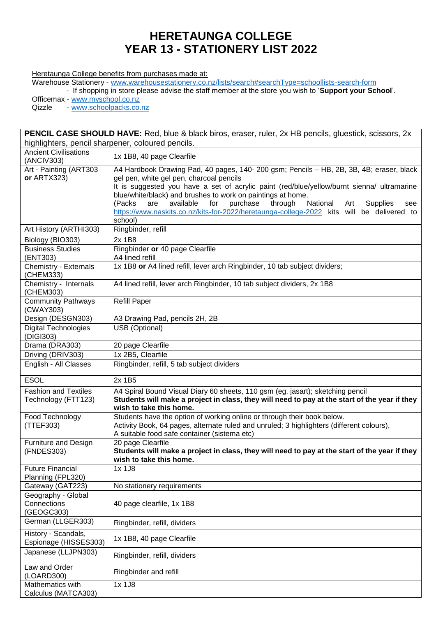## **HERETAUNGA COLLEGE YEAR 13 - STATIONERY LIST 2022**

Heretaunga College benefits from purchases made at:

Warehouse Stationery - [www.warehousestationery.co.nz/lists/search#searchType=schoollists-search-form](http://www.warehousestationery.co.nz/lists/search#searchType=schoollists-search-form)

- If shopping in store please advise the staff member at the store you wish to '**Support your School**'.

Officemax - [www.myschool.co.nz](http://www.myschool.co.nz/)

Qizzle - [www.schoolpacks.co.nz](http://www.schoolpacks.co.nz/)

| <b>PENCIL CASE SHOULD HAVE:</b> Red, blue & black biros, eraser, ruler, 2x HB pencils, gluestick, scissors, 2x |                                                                                                                                                                                                                                                                                                                                                                                                                                                                                                                    |  |
|----------------------------------------------------------------------------------------------------------------|--------------------------------------------------------------------------------------------------------------------------------------------------------------------------------------------------------------------------------------------------------------------------------------------------------------------------------------------------------------------------------------------------------------------------------------------------------------------------------------------------------------------|--|
| highlighters, pencil sharpener, coloured pencils.                                                              |                                                                                                                                                                                                                                                                                                                                                                                                                                                                                                                    |  |
| <b>Ancient Civilisations</b><br>(ANCIV303)                                                                     | 1x 1B8, 40 page Clearfile                                                                                                                                                                                                                                                                                                                                                                                                                                                                                          |  |
| Art - Painting (ART303<br>or ARTX323)                                                                          | A4 Hardbook Drawing Pad, 40 pages, 140- 200 gsm; Pencils - HB, 2B, 3B, 4B; eraser, black<br>gel pen, white gel pen, charcoal pencils<br>It is suggested you have a set of acrylic paint (red/blue/yellow/burnt sienna/ ultramarine<br>blue/white/black) and brushes to work on paintings at home.<br>purchase<br>through<br>(Packs<br>available<br>for<br>National<br>are<br><b>Supplies</b><br>Art<br>see<br>https://www.naskits.co.nz/kits-for-2022/heretaunga-college-2022 kits will be delivered to<br>school) |  |
| Art History (ARTHI303)                                                                                         | Ringbinder, refill                                                                                                                                                                                                                                                                                                                                                                                                                                                                                                 |  |
| Biology (BIO303)                                                                                               | 2x 1B8                                                                                                                                                                                                                                                                                                                                                                                                                                                                                                             |  |
| <b>Business Studies</b><br>(ENT303)                                                                            | Ringbinder or 40 page Clearfile<br>A4 lined refill                                                                                                                                                                                                                                                                                                                                                                                                                                                                 |  |
| Chemistry - Externals<br>(CHEM333)                                                                             | 1x 1B8 or A4 lined refill, lever arch Ringbinder, 10 tab subject dividers;                                                                                                                                                                                                                                                                                                                                                                                                                                         |  |
| Chemistry - Internals<br>(CHEM303)                                                                             | A4 lined refill, lever arch Ringbinder, 10 tab subject dividers, 2x 1B8                                                                                                                                                                                                                                                                                                                                                                                                                                            |  |
| <b>Community Pathways</b><br>(CWAY303)                                                                         | <b>Refill Paper</b>                                                                                                                                                                                                                                                                                                                                                                                                                                                                                                |  |
| Design (DESGN303)                                                                                              | A3 Drawing Pad, pencils 2H, 2B                                                                                                                                                                                                                                                                                                                                                                                                                                                                                     |  |
| <b>Digital Technologies</b><br>(DIGI303)                                                                       | USB (Optional)                                                                                                                                                                                                                                                                                                                                                                                                                                                                                                     |  |
| Drama (DRA303)                                                                                                 | 20 page Clearfile                                                                                                                                                                                                                                                                                                                                                                                                                                                                                                  |  |
| Driving (DRIV303)                                                                                              | 1x 2B5, Clearfile                                                                                                                                                                                                                                                                                                                                                                                                                                                                                                  |  |
| English - All Classes                                                                                          | Ringbinder, refill, 5 tab subject dividers                                                                                                                                                                                                                                                                                                                                                                                                                                                                         |  |
| <b>ESOL</b>                                                                                                    | 2x 1B5                                                                                                                                                                                                                                                                                                                                                                                                                                                                                                             |  |
| <b>Fashion and Textiles</b><br>Technology (FTT123)                                                             | A4 Spiral Bound Visual Diary 60 sheets, 110 gsm (eg. jasart); sketching pencil<br>Students will make a project in class, they will need to pay at the start of the year if they<br>wish to take this home.                                                                                                                                                                                                                                                                                                         |  |
| Food Technology<br>(TTEF303)                                                                                   | Students have the option of working online or through their book below.<br>Activity Book, 64 pages, alternate ruled and unruled; 3 highlighters (different colours),<br>A suitable food safe container (sistema etc)                                                                                                                                                                                                                                                                                               |  |
| Furniture and Design<br>(FNDES303)                                                                             | 20 page Clearfile<br>Students will make a project in class, they will need to pay at the start of the year if they<br>wish to take this home.                                                                                                                                                                                                                                                                                                                                                                      |  |
| Future Financial<br>Planning (FPL320)                                                                          | 1x 1J8                                                                                                                                                                                                                                                                                                                                                                                                                                                                                                             |  |
| Gateway (GAT223)                                                                                               | No stationery requirements                                                                                                                                                                                                                                                                                                                                                                                                                                                                                         |  |
| Geography - Global<br>Connections<br>(GEOGC303)                                                                | 40 page clearfile, 1x 1B8                                                                                                                                                                                                                                                                                                                                                                                                                                                                                          |  |
| German (LLGER303)                                                                                              | Ringbinder, refill, dividers                                                                                                                                                                                                                                                                                                                                                                                                                                                                                       |  |
| History - Scandals,<br>Espionage (HISSES303)                                                                   | 1x 1B8, 40 page Clearfile                                                                                                                                                                                                                                                                                                                                                                                                                                                                                          |  |
| Japanese (LLJPN303)                                                                                            | Ringbinder, refill, dividers                                                                                                                                                                                                                                                                                                                                                                                                                                                                                       |  |
| Law and Order<br>(LOARD300)                                                                                    | Ringbinder and refill                                                                                                                                                                                                                                                                                                                                                                                                                                                                                              |  |
| Mathematics with<br>Calculus (MATCA303)                                                                        | 1x 1J8                                                                                                                                                                                                                                                                                                                                                                                                                                                                                                             |  |